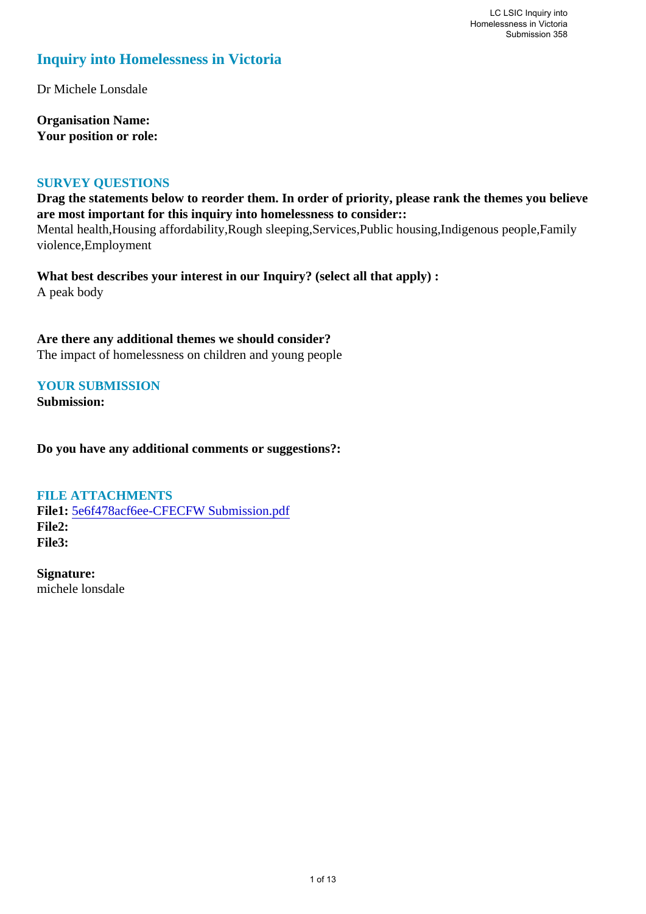# **Inquiry into Homelessness in Victoria**

Dr Michele Lonsdale

**Organisation Name: Your position or role:** 

# **SURVEY QUESTIONS**

**Drag the statements below to reorder them. In order of priority, please rank the themes you believe are most important for this inquiry into homelessness to consider::**  Mental health,Housing affordability,Rough sleeping,Services,Public housing,Indigenous people,Family violence,Employment

**What best describes your interest in our Inquiry? (select all that apply) :**  A peak body

**Are there any additional themes we should consider?** The impact of homelessness on children and young people

# **YOUR SUBMISSION**

**Submission:** 

**Do you have any additional comments or suggestions?:** 

## **FILE ATTACHMENTS**

**File1:** [5e6f478acf6ee-CFECFW Submission.pdf](https://www.parliament.vic.gov.au/component/rsform/submission-view-file/a06d7507d39c6d9a62877355a4d8ac12/78d0599483aa2648848fecc4148745ac?Itemid=463) **File2: File3:** 

**Signature:** michele lonsdale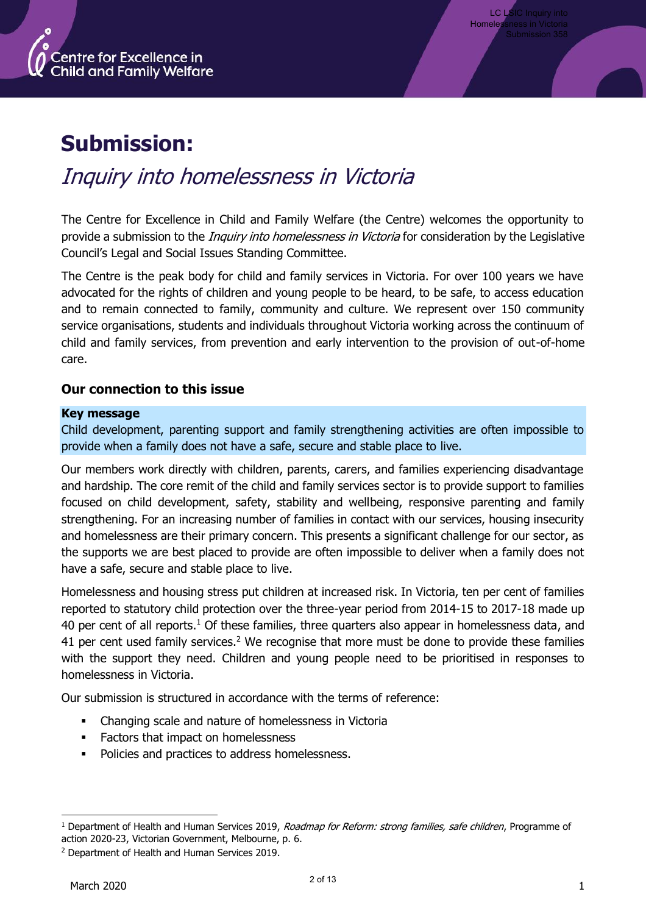

# **Submission:**

# Inquiry into homelessness in Victoria

The Centre for Excellence in Child and Family Welfare (the Centre) welcomes the opportunity to provide a submission to the *Inquiry into homelessness in Victoria* for consideration by the Legislative Council's Legal and Social Issues Standing Committee.

The Centre is the peak body for child and family services in Victoria. For over 100 years we have advocated for the rights of children and young people to be heard, to be safe, to access education and to remain connected to family, community and culture. We represent over 150 community service organisations, students and individuals throughout Victoria working across the continuum of child and family services, from prevention and early intervention to the provision of out-of-home care.

# **Our connection to this issue**

## **Key message**

Child development, parenting support and family strengthening activities are often impossible to provide when a family does not have a safe, secure and stable place to live.

Our members work directly with children, parents, carers, and families experiencing disadvantage and hardship. The core remit of the child and family services sector is to provide support to families focused on child development, safety, stability and wellbeing, responsive parenting and family strengthening. For an increasing number of families in contact with our services, housing insecurity and homelessness are their primary concern. This presents a significant challenge for our sector, as the supports we are best placed to provide are often impossible to deliver when a family does not have a safe, secure and stable place to live.

Homelessness and housing stress put children at increased risk. In Victoria, ten per cent of families reported to statutory child protection over the three-year period from 2014-15 to 2017-18 made up 40 per cent of all reports.<sup>1</sup> Of these families, three quarters also appear in homelessness data, and 41 per cent used family services.<sup>2</sup> We recognise that more must be done to provide these families with the support they need. Children and young people need to be prioritised in responses to homelessness in Victoria.

Our submission is structured in accordance with the terms of reference:

- Changing scale and nature of homelessness in Victoria
- Factors that impact on homelessness
- Policies and practices to address homelessness.

<sup>&</sup>lt;sup>1</sup> Department of Health and Human Services 2019, *Roadmap for Reform: strong families, safe children*, Programme of action 2020-23, Victorian Government, Melbourne, p. 6.

<sup>2</sup> Department of Health and Human Services 2019.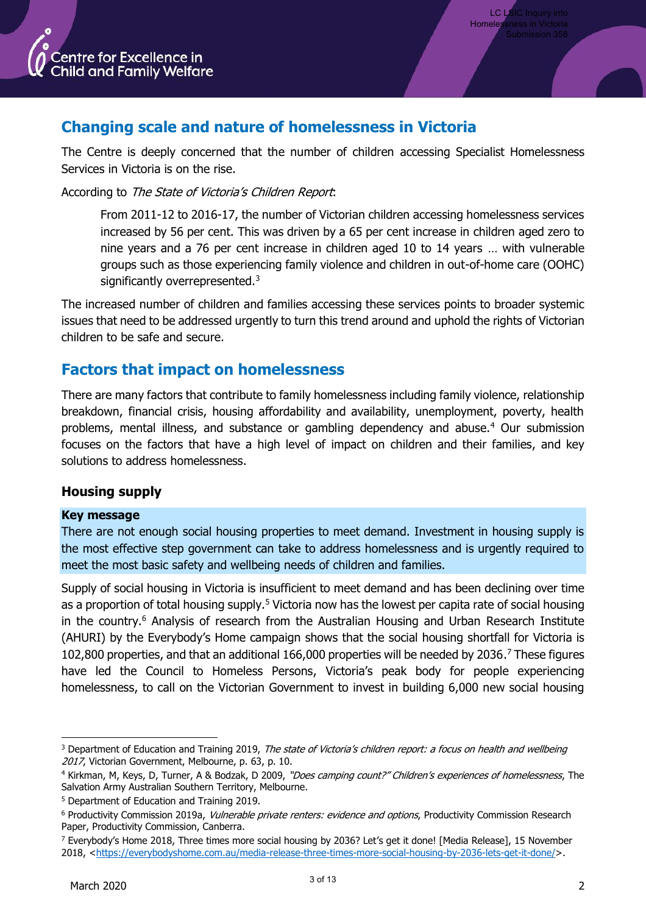

# **Changing scale and nature of homelessness in Victoria**

The Centre is deeply concerned that the number of children accessing Specialist Homelessness Services in Victoria is on the rise.

According to The State of Victoria's Children Report:

From 2011-12 to 2016-17, the number of Victorian children accessing homelessness services increased by 56 per cent. This was driven by a 65 per cent increase in children aged zero to nine years and a 76 per cent increase in children aged 10 to 14 years … with vulnerable groups such as those experiencing family violence and children in out-of-home care (OOHC) significantly overrepresented.<sup>3</sup>

The increased number of children and families accessing these services points to broader systemic issues that need to be addressed urgently to turn this trend around and uphold the rights of Victorian children to be safe and secure.

# **Factors that impact on homelessness**

There are many factors that contribute to family homelessness including family violence, relationship breakdown, financial crisis, housing affordability and availability, unemployment, poverty, health problems, mental illness, and substance or gambling dependency and abuse.<sup>4</sup> Our submission focuses on the factors that have a high level of impact on children and their families, and key solutions to address homelessness.

# **Housing supply**

## **Key message**

There are not enough social housing properties to meet demand. Investment in housing supply is the most effective step government can take to address homelessness and is urgently required to meet the most basic safety and wellbeing needs of children and families.

Supply of social housing in Victoria is insufficient to meet demand and has been declining over time as a proportion of total housing supply.<sup>5</sup> Victoria now has the lowest per capita rate of social housing in the country.<sup>6</sup> Analysis of research from the Australian Housing and Urban Research Institute (AHURI) by the Everybody's Home campaign shows that the social housing shortfall for Victoria is 102,800 properties, and that an additional 166,000 properties will be needed by 2036. <sup>7</sup> These figures have led the Council to Homeless Persons, Victoria's peak body for people experiencing homelessness, to call on the Victorian Government to invest in building 6,000 new social housing

<sup>&</sup>lt;sup>3</sup> Department of Education and Training 2019, The state of Victoria's children report: a focus on health and wellbeing 2017, Victorian Government, Melbourne, p. 63, p. 10.

<sup>4</sup> Kirkman, M, Keys, D, Turner, A & Bodzak, D 2009, "Does camping count?" Children's experiences of homelessness, The Salvation Army Australian Southern Territory, Melbourne.

<sup>5</sup> Department of Education and Training 2019.

<sup>&</sup>lt;sup>6</sup> Productivity Commission 2019a, *Vulnerable private renters: evidence and options*, Productivity Commission Research Paper, Productivity Commission, Canberra.

<sup>7</sup> Everybody's Home 2018, Three times more social housing by 2036? Let's get it done! [Media Release], 15 November 2018, [<https://everybodyshome.com.au/media-release-three-times-more-social-housing-by-2036-lets-get-it-done/>](https://everybodyshome.com.au/media-release-three-times-more-social-housing-by-2036-lets-get-it-done/).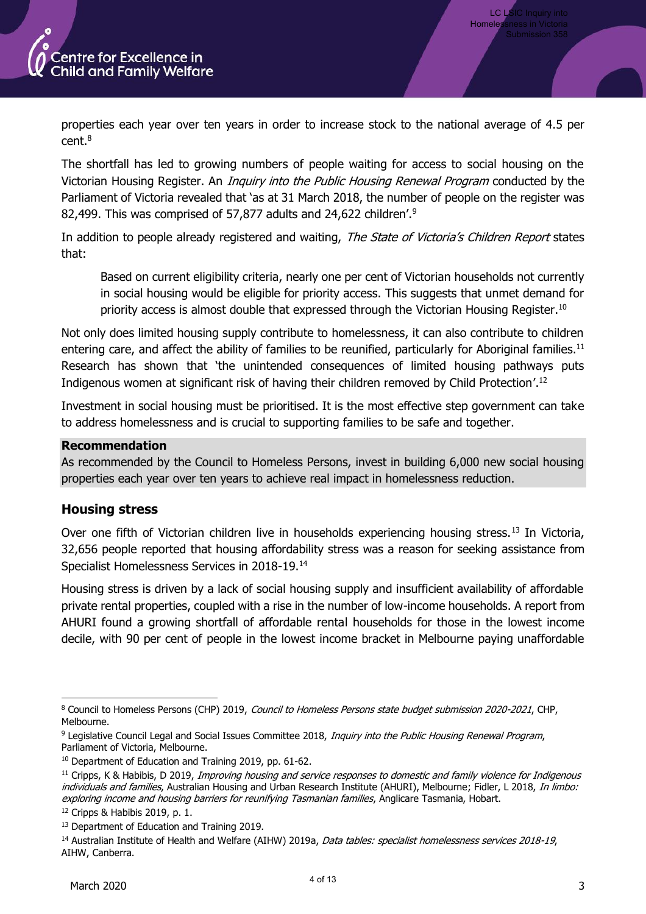

LC LSIC Inquiry into Homeles

properties each year over ten years in order to increase stock to the national average of 4.5 per cent.<sup>8</sup>

The shortfall has led to growing numbers of people waiting for access to social housing on the Victorian Housing Register. An *Inquiry into the Public Housing Renewal Program* conducted by the Parliament of Victoria revealed that 'as at 31 March 2018, the number of people on the register was 82,499. This was comprised of 57,877 adults and 24,622 children<sup>'.9</sup>

In addition to people already registered and waiting, The State of Victoria's Children Report states that:

Based on current eligibility criteria, nearly one per cent of Victorian households not currently in social housing would be eligible for priority access. This suggests that unmet demand for priority access is almost double that expressed through the Victorian Housing Register.<sup>10</sup>

Not only does limited housing supply contribute to homelessness, it can also contribute to children entering care, and affect the ability of families to be reunified, particularly for Aboriginal families.<sup>11</sup> Research has shown that 'the unintended consequences of limited housing pathways puts Indigenous women at significant risk of having their children removed by Child Protection'. 12

Investment in social housing must be prioritised. It is the most effective step government can take to address homelessness and is crucial to supporting families to be safe and together.

## **Recommendation**

As recommended by the Council to Homeless Persons, invest in building 6,000 new social housing properties each year over ten years to achieve real impact in homelessness reduction.

# **Housing stress**

Over one fifth of Victorian children live in households experiencing housing stress.<sup>13</sup> In Victoria, 32,656 people reported that housing affordability stress was a reason for seeking assistance from Specialist Homelessness Services in 2018-19.<sup>14</sup>

Housing stress is driven by a lack of social housing supply and insufficient availability of affordable private rental properties, coupled with a rise in the number of low-income households. A report from AHURI found a growing shortfall of affordable rental households for those in the lowest income decile, with 90 per cent of people in the lowest income bracket in Melbourne paying unaffordable

<sup>&</sup>lt;sup>8</sup> Council to Homeless Persons (CHP) 2019, *Council to Homeless Persons state budget submission 2020-2021*, CHP, Melbourne.

<sup>9</sup> Legislative Council Legal and Social Issues Committee 2018, Inquiry into the Public Housing Renewal Program, Parliament of Victoria, Melbourne.

<sup>10</sup> Department of Education and Training 2019, pp. 61-62.

 $11$  Cripps, K & Habibis, D 2019, Improving housing and service responses to domestic and family violence for Indigenous individuals and families, Australian Housing and Urban Research Institute (AHURI), Melbourne; Fidler, L 2018, In limbo: exploring income and housing barriers for reunifying Tasmanian families, Anglicare Tasmania, Hobart.

<sup>12</sup> Cripps & Habibis 2019, p. 1.

<sup>&</sup>lt;sup>13</sup> Department of Education and Training 2019.

<sup>&</sup>lt;sup>14</sup> Australian Institute of Health and Welfare (AIHW) 2019a, *Data tables: specialist homelessness services 2018-19*, AIHW, Canberra.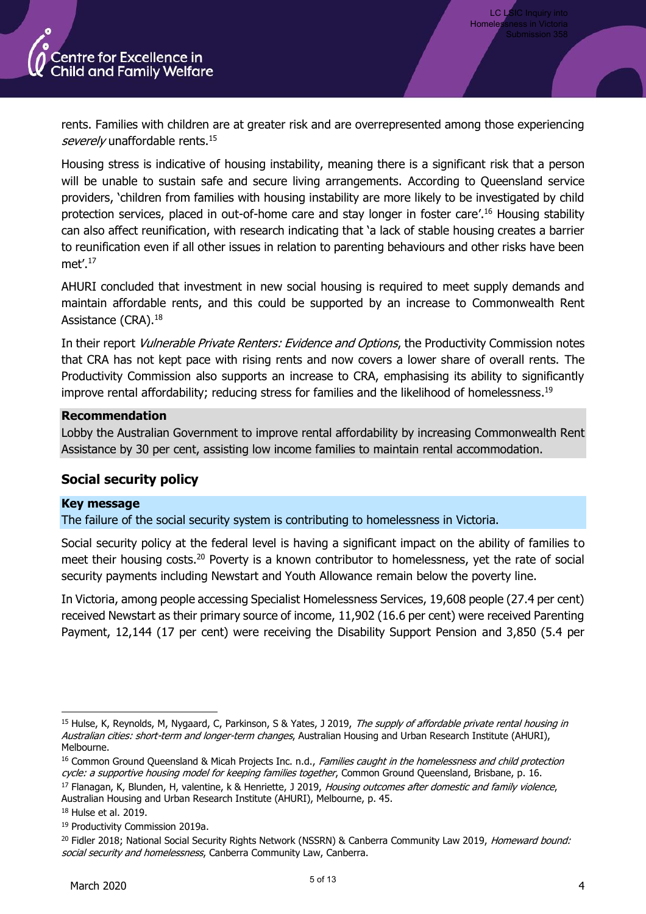

rents. Families with children are at greater risk and are overrepresented among those experiencing severely unaffordable rents.<sup>15</sup>

Housing stress is indicative of housing instability, meaning there is a significant risk that a person will be unable to sustain safe and secure living arrangements. According to Queensland service providers, 'children from families with housing instability are more likely to be investigated by child protection services, placed in out-of-home care and stay longer in foster care'.<sup>16</sup> Housing stability can also affect reunification, with research indicating that 'a lack of stable housing creates a barrier to reunification even if all other issues in relation to parenting behaviours and other risks have been met'. 17

AHURI concluded that investment in new social housing is required to meet supply demands and maintain affordable rents, and this could be supported by an increase to Commonwealth Rent Assistance (CRA).<sup>18</sup>

In their report *Vulnerable Private Renters: Evidence and Options*, the Productivity Commission notes that CRA has not kept pace with rising rents and now covers a lower share of overall rents. The Productivity Commission also supports an increase to CRA, emphasising its ability to significantly improve rental affordability; reducing stress for families and the likelihood of homelessness.<sup>19</sup>

#### **Recommendation**

Lobby the Australian Government to improve rental affordability by increasing Commonwealth Rent Assistance by 30 per cent, assisting low income families to maintain rental accommodation.

# **Social security policy**

#### **Key message**

The failure of the social security system is contributing to homelessness in Victoria.

Social security policy at the federal level is having a significant impact on the ability of families to meet their housing costs.<sup>20</sup> Poverty is a known contributor to homelessness, yet the rate of social security payments including Newstart and Youth Allowance remain below the poverty line.

In Victoria, among people accessing Specialist Homelessness Services, 19,608 people (27.4 per cent) received Newstart as their primary source of income, 11,902 (16.6 per cent) were received Parenting Payment, 12,144 (17 per cent) were receiving the Disability Support Pension and 3,850 (5.4 per

<sup>&</sup>lt;sup>15</sup> Hulse, K, Reynolds, M, Nygaard, C, Parkinson, S & Yates, J 2019, The supply of affordable private rental housing in Australian cities: short-term and longer-term changes, Australian Housing and Urban Research Institute (AHURI), Melbourne.

<sup>&</sup>lt;sup>16</sup> Common Ground Queensland & Micah Projects Inc. n.d., Families caught in the homelessness and child protection cycle: a supportive housing model for keeping families together, Common Ground Queensland, Brisbane, p. 16.

<sup>&</sup>lt;sup>17</sup> Flanagan, K, Blunden, H, valentine, k & Henriette, J 2019, Housing outcomes after domestic and family violence, Australian Housing and Urban Research Institute (AHURI), Melbourne, p. 45.

<sup>18</sup> Hulse et al. 2019.

<sup>19</sup> Productivity Commission 2019a.

<sup>&</sup>lt;sup>20</sup> Fidler 2018; National Social Security Rights Network (NSSRN) & Canberra Community Law 2019, Homeward bound: social security and homelessness, Canberra Community Law, Canberra.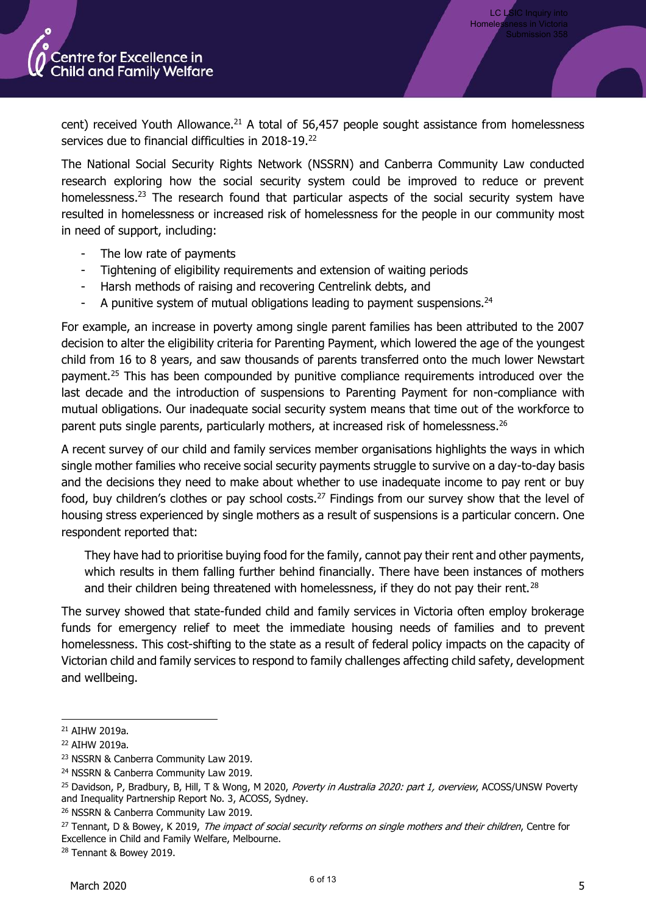

cent) received Youth Allowance.<sup>21</sup> A total of 56,457 people sought assistance from homelessness services due to financial difficulties in 2018-19.<sup>22</sup>

The National Social Security Rights Network (NSSRN) and Canberra Community Law conducted research exploring how the social security system could be improved to reduce or prevent homelessness.<sup>23</sup> The research found that particular aspects of the social security system have resulted in homelessness or increased risk of homelessness for the people in our community most in need of support, including:

- The low rate of payments
- Tightening of eligibility requirements and extension of waiting periods
- Harsh methods of raising and recovering Centrelink debts, and
- A punitive system of mutual obligations leading to payment suspensions.<sup>24</sup>

For example, an increase in poverty among single parent families has been attributed to the 2007 decision to alter the eligibility criteria for Parenting Payment, which lowered the age of the youngest child from 16 to 8 years, and saw thousands of parents transferred onto the much lower Newstart payment.<sup>25</sup> This has been compounded by punitive compliance requirements introduced over the last decade and the introduction of suspensions to Parenting Payment for non-compliance with mutual obligations. Our inadequate social security system means that time out of the workforce to parent puts single parents, particularly mothers, at increased risk of homelessness.<sup>26</sup>

A recent survey of our child and family services member organisations highlights the ways in which single mother families who receive social security payments struggle to survive on a day-to-day basis and the decisions they need to make about whether to use inadequate income to pay rent or buy food, buy children's clothes or pay school costs.<sup>27</sup> Findings from our survey show that the level of housing stress experienced by single mothers as a result of suspensions is a particular concern. One respondent reported that:

They have had to prioritise buying food for the family, cannot pay their rent and other payments, which results in them falling further behind financially. There have been instances of mothers and their children being threatened with homelessness, if they do not pay their rent.<sup>28</sup>

The survey showed that state-funded child and family services in Victoria often employ brokerage funds for emergency relief to meet the immediate housing needs of families and to prevent homelessness. This cost-shifting to the state as a result of federal policy impacts on the capacity of Victorian child and family services to respond to family challenges affecting child safety, development and wellbeing.

<sup>21</sup> AIHW 2019a.

<sup>22</sup> AIHW 2019a.

<sup>23</sup> NSSRN & Canberra Community Law 2019.

<sup>24</sup> NSSRN & Canberra Community Law 2019.

<sup>&</sup>lt;sup>25</sup> Davidson, P, Bradbury, B, Hill, T & Wong, M 2020, Poverty in Australia 2020: part 1, overview, ACOSS/UNSW Poverty and Inequality Partnership Report No. 3, ACOSS, Sydney.

<sup>26</sup> NSSRN & Canberra Community Law 2019.

<sup>&</sup>lt;sup>27</sup> Tennant, D & Bowey, K 2019, *The impact of social security reforms on single mothers and their children*, Centre for Excellence in Child and Family Welfare, Melbourne.

<sup>28</sup> Tennant & Bowey 2019.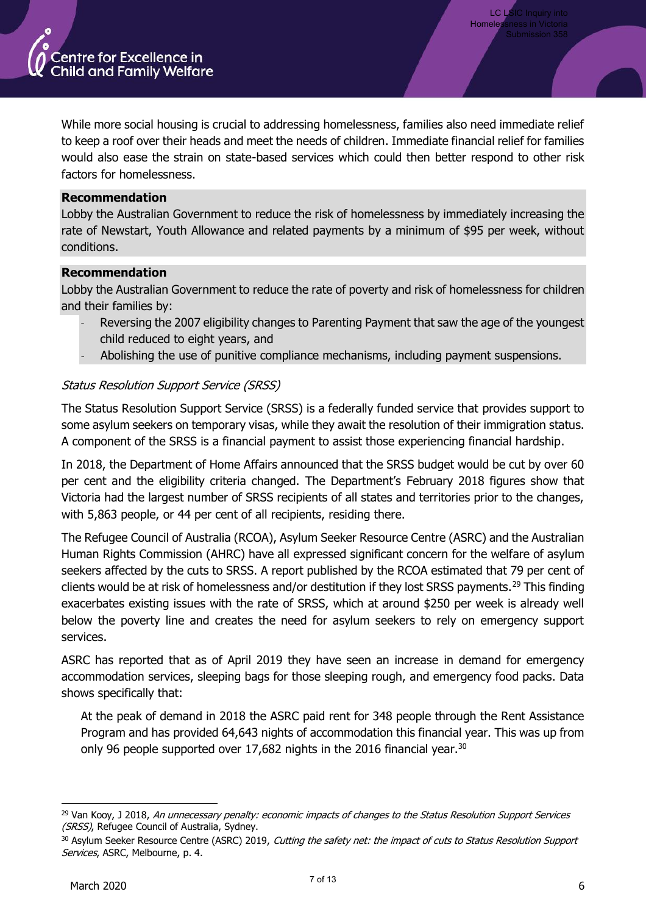

While more social housing is crucial to addressing homelessness, families also need immediate relief to keep a roof over their heads and meet the needs of children. Immediate financial relief for families would also ease the strain on state-based services which could then better respond to other risk factors for homelessness.

#### **Recommendation**

Lobby the Australian Government to reduce the risk of homelessness by immediately increasing the rate of Newstart, Youth Allowance and related payments by a minimum of \$95 per week, without conditions.

#### **Recommendation**

Lobby the Australian Government to reduce the rate of poverty and risk of homelessness for children and their families by:

- Reversing the 2007 eligibility changes to Parenting Payment that saw the age of the youngest child reduced to eight years, and
- Abolishing the use of punitive compliance mechanisms, including payment suspensions.

# Status Resolution Support Service (SRSS)

The Status Resolution Support Service (SRSS) is a federally funded service that provides support to some asylum seekers on temporary visas, while they await the resolution of their immigration status. A component of the SRSS is a financial payment to assist those experiencing financial hardship.

In 2018, the Department of Home Affairs announced that the SRSS budget would be cut by over 60 per cent and the eligibility criteria changed. The Department's February 2018 figures show that Victoria had the largest number of SRSS recipients of all states and territories prior to the changes, with 5,863 people, or 44 per cent of all recipients, residing there.

The Refugee Council of Australia (RCOA), Asylum Seeker Resource Centre (ASRC) and the Australian Human Rights Commission (AHRC) have all expressed significant concern for the welfare of asylum seekers affected by the cuts to SRSS. A report published by the RCOA estimated that 79 per cent of clients would be at risk of homelessness and/or destitution if they lost SRSS payments.<sup>29</sup> This finding exacerbates existing issues with the rate of SRSS, which at around \$250 per week is already well below the poverty line and creates the need for asylum seekers to rely on emergency support services.

ASRC has reported that as of April 2019 they have seen an increase in demand for emergency accommodation services, sleeping bags for those sleeping rough, and emergency food packs. Data shows specifically that:

At the peak of demand in 2018 the ASRC paid rent for 348 people through the Rent Assistance Program and has provided 64,643 nights of accommodation this financial year. This was up from only 96 people supported over 17,682 nights in the 2016 financial year.<sup>30</sup>

<sup>&</sup>lt;sup>29</sup> Van Kooy, J 2018, An unnecessary penalty: economic impacts of changes to the Status Resolution Support Services (SRSS), Refugee Council of Australia, Sydney.

<sup>&</sup>lt;sup>30</sup> Asylum Seeker Resource Centre (ASRC) 2019, Cutting the safety net: the impact of cuts to Status Resolution Support Services, ASRC, Melbourne, p. 4.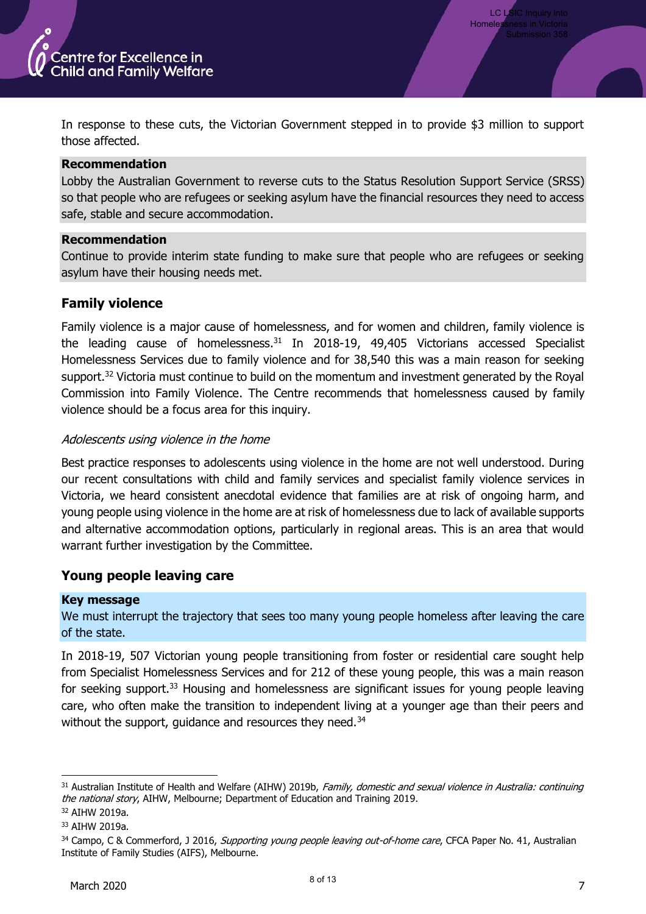

In response to these cuts, the Victorian Government stepped in to provide \$3 million to support those affected.

## **Recommendation**

Lobby the Australian Government to reverse cuts to the Status Resolution Support Service (SRSS) so that people who are refugees or seeking asylum have the financial resources they need to access safe, stable and secure accommodation.

#### **Recommendation**

Continue to provide interim state funding to make sure that people who are refugees or seeking asylum have their housing needs met.

# **Family violence**

Family violence is a major cause of homelessness, and for women and children, family violence is the leading cause of homelessness. $31$  In 2018-19, 49,405 Victorians accessed Specialist Homelessness Services due to family violence and for 38,540 this was a main reason for seeking support.<sup>32</sup> Victoria must continue to build on the momentum and investment generated by the Royal Commission into Family Violence. The Centre recommends that homelessness caused by family violence should be a focus area for this inquiry.

# Adolescents using violence in the home

Best practice responses to adolescents using violence in the home are not well understood. During our recent consultations with child and family services and specialist family violence services in Victoria, we heard consistent anecdotal evidence that families are at risk of ongoing harm, and young people using violence in the home are at risk of homelessness due to lack of available supports and alternative accommodation options, particularly in regional areas. This is an area that would warrant further investigation by the Committee.

# **Young people leaving care**

## **Key message**

We must interrupt the trajectory that sees too many young people homeless after leaving the care of the state.

In 2018-19, 507 Victorian young people transitioning from foster or residential care sought help from Specialist Homelessness Services and for 212 of these young people, this was a main reason for seeking support.<sup>33</sup> Housing and homelessness are significant issues for young people leaving care, who often make the transition to independent living at a younger age than their peers and without the support, quidance and resources they need.<sup>34</sup>

<sup>31</sup> Australian Institute of Health and Welfare (AIHW) 2019b, Family, domestic and sexual violence in Australia: continuing the national story, AIHW, Melbourne; Department of Education and Training 2019.

<sup>32</sup> AIHW 2019a.

<sup>33</sup> AIHW 2019a.

<sup>&</sup>lt;sup>34</sup> Campo, C & Commerford, J 2016, *Supporting young people leaving out-of-home care*, CFCA Paper No. 41, Australian Institute of Family Studies (AIFS), Melbourne.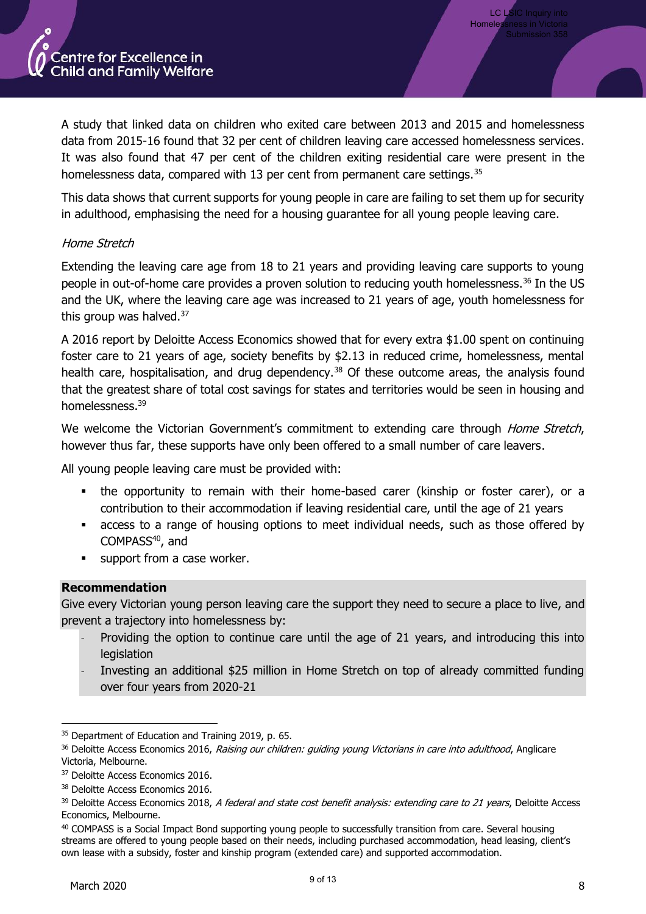

A study that linked data on children who exited care between 2013 and 2015 and homelessness data from 2015-16 found that 32 per cent of children leaving care accessed homelessness services. It was also found that 47 per cent of the children exiting residential care were present in the homelessness data, compared with 13 per cent from permanent care settings.<sup>35</sup>

This data shows that current supports for young people in care are failing to set them up for security in adulthood, emphasising the need for a housing guarantee for all young people leaving care.

# Home Stretch

Extending the leaving care age from 18 to 21 years and providing leaving care supports to young people in out-of-home care provides a proven solution to reducing youth homelessness.<sup>36</sup> In the US and the UK, where the leaving care age was increased to 21 years of age, youth homelessness for this group was halved.<sup>37</sup>

A 2016 report by Deloitte Access Economics showed that for every extra \$1.00 spent on continuing foster care to 21 years of age, society benefits by \$2.13 in reduced crime, homelessness, mental health care, hospitalisation, and drug dependency.<sup>38</sup> Of these outcome areas, the analysis found that the greatest share of total cost savings for states and territories would be seen in housing and homelessness.<sup>39</sup>

We welcome the Victorian Government's commitment to extending care through Home Stretch, however thus far, these supports have only been offered to a small number of care leavers.

All young people leaving care must be provided with:

- the opportunity to remain with their home-based carer (kinship or foster carer), or a contribution to their accommodation if leaving residential care, until the age of 21 years
- access to a range of housing options to meet individual needs, such as those offered by COMPASS<sup>40</sup>, and
- support from a case worker.

## **Recommendation**

Give every Victorian young person leaving care the support they need to secure a place to live, and prevent a trajectory into homelessness by:

- Providing the option to continue care until the age of 21 years, and introducing this into legislation
- Investing an additional \$25 million in Home Stretch on top of already committed funding over four years from 2020-21

<sup>&</sup>lt;sup>35</sup> Department of Education and Training 2019, p. 65.

<sup>&</sup>lt;sup>36</sup> Deloitte Access Economics 2016, *Raising our children: quiding young Victorians in care into adulthood*, Anglicare Victoria, Melbourne.

<sup>&</sup>lt;sup>37</sup> Deloitte Access Economics 2016.

<sup>&</sup>lt;sup>38</sup> Deloitte Access Economics 2016.

<sup>&</sup>lt;sup>39</sup> Deloitte Access Economics 2018, A federal and state cost benefit analysis: extending care to 21 years, Deloitte Access Economics, Melbourne.

<sup>&</sup>lt;sup>40</sup> COMPASS is a Social Impact Bond supporting young people to successfully transition from care. Several housing streams are offered to young people based on their needs, including purchased accommodation, head leasing, client's own lease with a subsidy, foster and kinship program (extended care) and supported accommodation.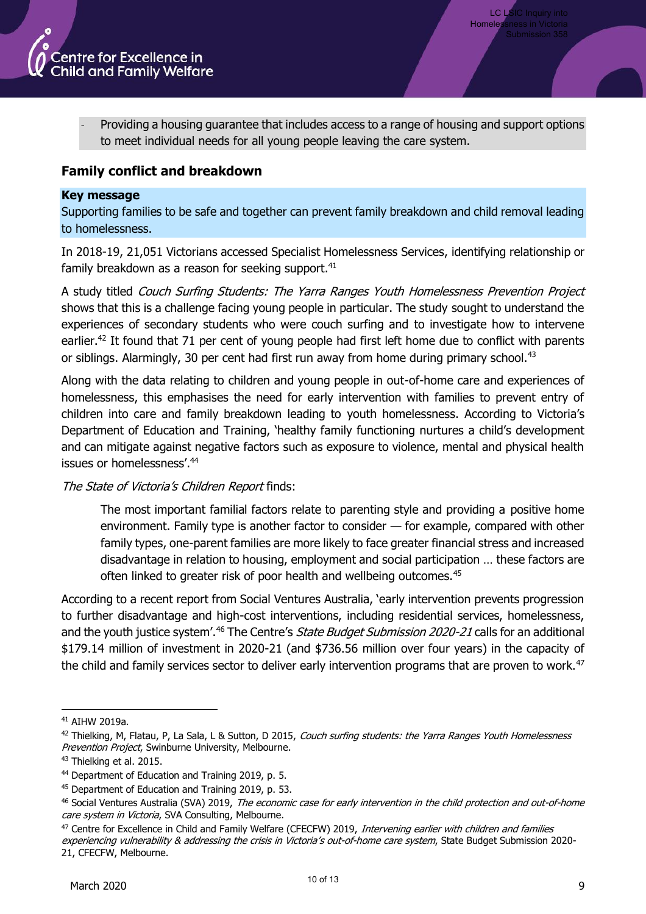

Providing a housing guarantee that includes access to a range of housing and support options to meet individual needs for all young people leaving the care system.

# **Family conflict and breakdown**

#### **Key message**

Supporting families to be safe and together can prevent family breakdown and child removal leading to homelessness.

In 2018-19, 21,051 Victorians accessed Specialist Homelessness Services, identifying relationship or family breakdown as a reason for seeking support.<sup>41</sup>

A study titled Couch Surfing Students: The Yarra Ranges Youth Homelessness Prevention Project shows that this is a challenge facing young people in particular. The study sought to understand the experiences of secondary students who were couch surfing and to investigate how to intervene earlier.<sup>42</sup> It found that 71 per cent of young people had first left home due to conflict with parents or siblings. Alarmingly, 30 per cent had first run away from home during primary school.<sup>43</sup>

Along with the data relating to children and young people in out-of-home care and experiences of homelessness, this emphasises the need for early intervention with families to prevent entry of children into care and family breakdown leading to youth homelessness. According to Victoria's Department of Education and Training, 'healthy family functioning nurtures a child's development and can mitigate against negative factors such as exposure to violence, mental and physical health issues or homelessness'.<sup>44</sup>

## The State of Victoria's Children Report finds:

The most important familial factors relate to parenting style and providing a positive home environment. Family type is another factor to consider — for example, compared with other family types, one-parent families are more likely to face greater financial stress and increased disadvantage in relation to housing, employment and social participation … these factors are often linked to greater risk of poor health and wellbeing outcomes.<sup>45</sup>

According to a recent report from Social Ventures Australia, 'early intervention prevents progression to further disadvantage and high-cost interventions, including residential services, homelessness, and the youth justice system'.<sup>46</sup> The Centre's *State Budget Submission 2020-21* calls for an additional \$179.14 million of investment in 2020-21 (and \$736.56 million over four years) in the capacity of the child and family services sector to deliver early intervention programs that are proven to work.<sup>47</sup>

<sup>41</sup> AIHW 2019a.

<sup>&</sup>lt;sup>42</sup> Thielking, M, Flatau, P, La Sala, L & Sutton, D 2015, Couch surfing students: the Yarra Ranges Youth Homelessness Prevention Project, Swinburne University, Melbourne.

<sup>&</sup>lt;sup>43</sup> Thielking et al. 2015.

<sup>44</sup> Department of Education and Training 2019, p. 5.

<sup>45</sup> Department of Education and Training 2019, p. 53.

<sup>&</sup>lt;sup>46</sup> Social Ventures Australia (SVA) 2019, The economic case for early intervention in the child protection and out-of-home care system in Victoria, SVA Consulting, Melbourne.

<sup>47</sup> Centre for Excellence in Child and Family Welfare (CFECFW) 2019, Intervening earlier with children and families

experiencing vulnerability & addressing the crisis in Victoria's out-of-home care system. State Budget Submission 2020-21, CFECFW, Melbourne.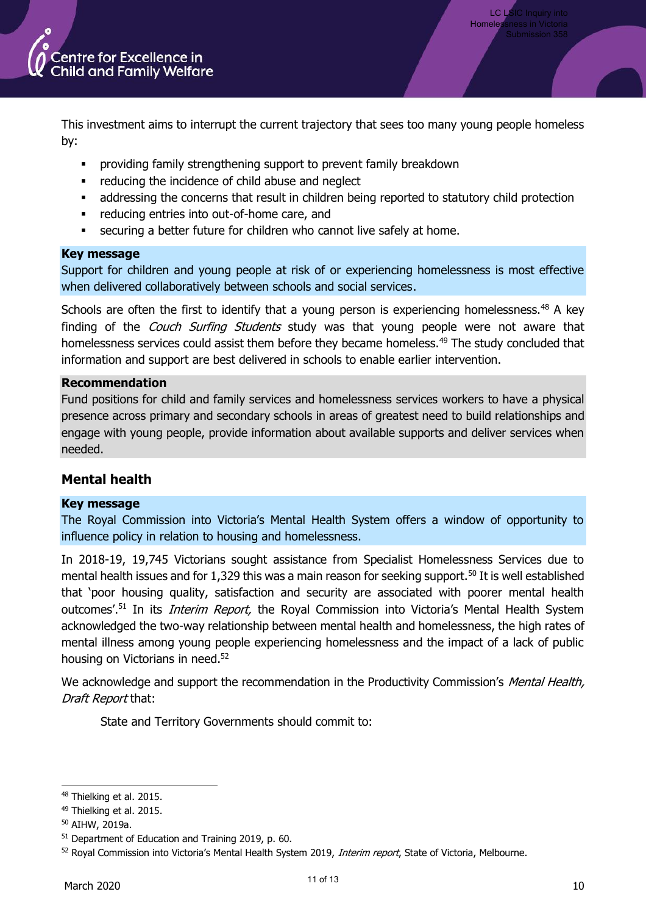

LC LSIC Inquiry into Homele

This investment aims to interrupt the current trajectory that sees too many young people homeless by:

- providing family strengthening support to prevent family breakdown
- reducing the incidence of child abuse and neglect
- addressing the concerns that result in children being reported to statutory child protection
- reducing entries into out-of-home care, and
- securing a better future for children who cannot live safely at home.

## **Key message**

Support for children and young people at risk of or experiencing homelessness is most effective when delivered collaboratively between schools and social services.

Schools are often the first to identify that a young person is experiencing homelessness.<sup>48</sup> A key finding of the Couch Surfing Students study was that young people were not aware that homelessness services could assist them before they became homeless.<sup>49</sup> The study concluded that information and support are best delivered in schools to enable earlier intervention.

#### **Recommendation**

Fund positions for child and family services and homelessness services workers to have a physical presence across primary and secondary schools in areas of greatest need to build relationships and engage with young people, provide information about available supports and deliver services when needed.

# **Mental health**

## **Key message**

The Royal Commission into Victoria's Mental Health System offers a window of opportunity to influence policy in relation to housing and homelessness.

In 2018-19, 19,745 Victorians sought assistance from Specialist Homelessness Services due to mental health issues and for 1,329 this was a main reason for seeking support.<sup>50</sup> It is well established that 'poor housing quality, satisfaction and security are associated with poorer mental health outcomes'.<sup>51</sup> In its *Interim Report*, the Royal Commission into Victoria's Mental Health System acknowledged the two-way relationship between mental health and homelessness, the high rates of mental illness among young people experiencing homelessness and the impact of a lack of public housing on Victorians in need.<sup>52</sup>

We acknowledge and support the recommendation in the Productivity Commission's Mental Health, Draft Report that:

State and Territory Governments should commit to:

<sup>48</sup> Thielking et al. 2015.

<sup>49</sup> Thielking et al. 2015.

<sup>50</sup> AIHW, 2019a.

<sup>51</sup> Department of Education and Training 2019, p. 60.

<sup>52</sup> Royal Commission into Victoria's Mental Health System 2019, Interim report, State of Victoria, Melbourne.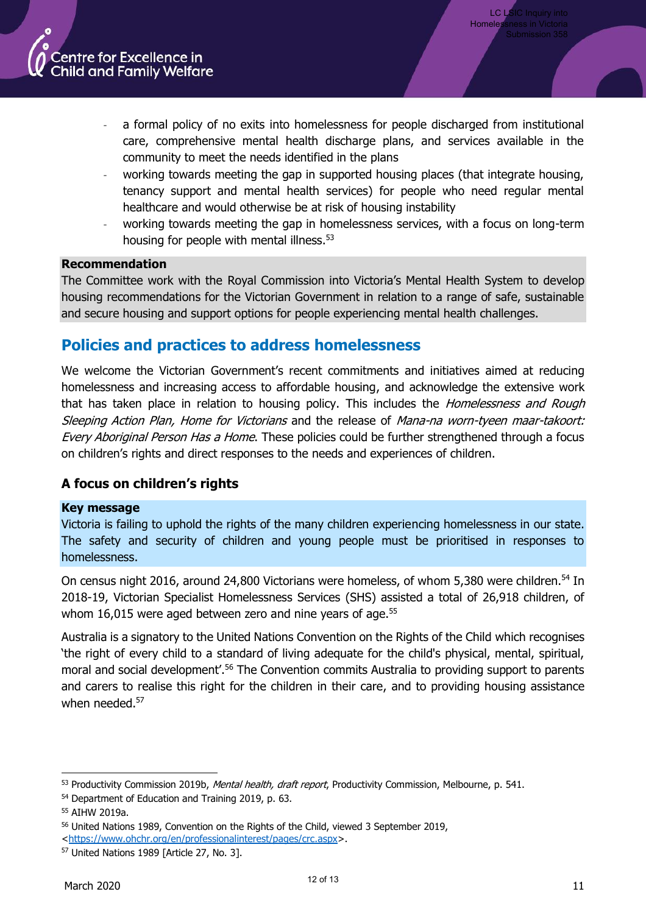

- a formal policy of no exits into homelessness for people discharged from institutional care, comprehensive mental health discharge plans, and services available in the community to meet the needs identified in the plans
- working towards meeting the gap in supported housing places (that integrate housing, tenancy support and mental health services) for people who need regular mental healthcare and would otherwise be at risk of housing instability
- working towards meeting the gap in homelessness services, with a focus on long-term housing for people with mental illness.<sup>53</sup>

## **Recommendation**

The Committee work with the Royal Commission into Victoria's Mental Health System to develop housing recommendations for the Victorian Government in relation to a range of safe, sustainable and secure housing and support options for people experiencing mental health challenges.

# **Policies and practices to address homelessness**

We welcome the Victorian Government's recent commitments and initiatives aimed at reducing homelessness and increasing access to affordable housing, and acknowledge the extensive work that has taken place in relation to housing policy. This includes the *Homelessness and Rough* Sleeping Action Plan, Home for Victorians and the release of Mana-na worn-tyeen maar-takoort: Every Aboriginal Person Has a Home. These policies could be further strengthened through a focus on children's rights and direct responses to the needs and experiences of children.

# **A focus on children's rights**

## **Key message**

Victoria is failing to uphold the rights of the many children experiencing homelessness in our state. The safety and security of children and young people must be prioritised in responses to homelessness.

On census night 2016, around 24,800 Victorians were homeless, of whom 5,380 were children.<sup>54</sup> In 2018-19, Victorian Specialist Homelessness Services (SHS) assisted a total of 26,918 children, of whom 16,015 were aged between zero and nine years of age.<sup>55</sup>

Australia is a signatory to the United Nations Convention on the Rights of the Child which recognises 'the right of every child to a standard of living adequate for the child's physical, mental, spiritual, moral and social development'.<sup>56</sup> The Convention commits Australia to providing support to parents and carers to realise this right for the children in their care, and to providing housing assistance when needed.<sup>57</sup>

<sup>53</sup> Productivity Commission 2019b, Mental health, draft report, Productivity Commission, Melbourne, p. 541.

<sup>54</sup> Department of Education and Training 2019, p. 63.

<sup>55</sup> AIHW 2019a.

<sup>56</sup> United Nations 1989, Convention on the Rights of the Child, viewed 3 September 2019,

[<sup>&</sup>lt;https://www.ohchr.org/en/professionalinterest/pages/crc.aspx>](https://www.ohchr.org/en/professionalinterest/pages/crc.aspx).

<sup>57</sup> United Nations 1989 [Article 27, No. 3].